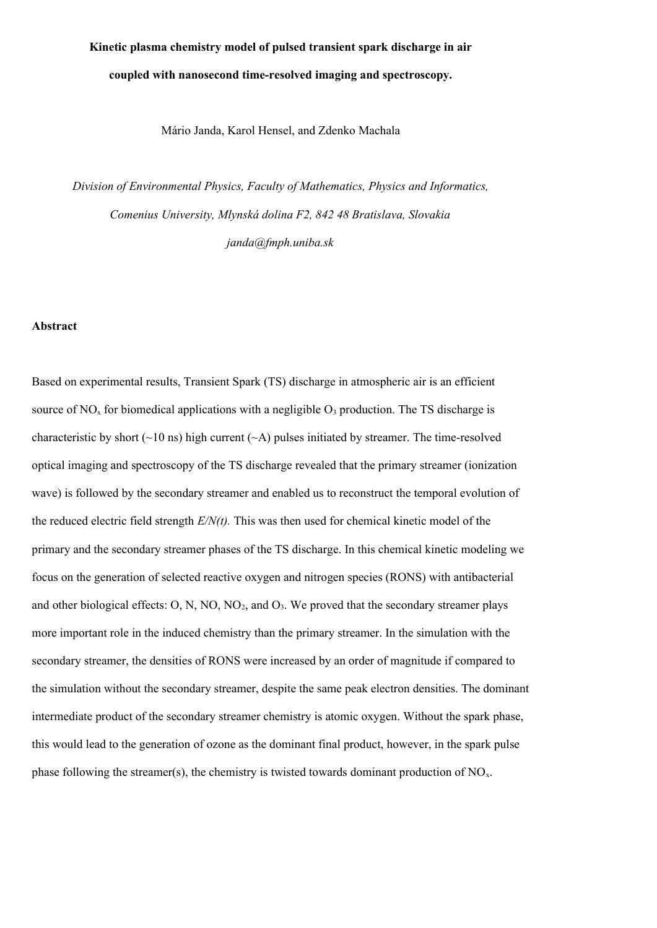# **Kinetic plasma chemistry model of pulsed transient spark discharge in air coupled with nanosecond time-resolved imaging and spectroscopy.**

Mário Janda, Karol Hensel, and Zdenko Machala

*Division of Environmental Physics, Faculty of Mathematics, Physics and Informatics, Comenius University, Mlynská dolina F2, 842 48 Bratislava, Slovakia janda@fmph.uniba.sk*

### **Abstract**

Based on experimental results, Transient Spark (TS) discharge in atmospheric air is an efficient source of  $NO<sub>x</sub>$  for biomedical applications with a negligible  $O<sub>3</sub>$  production. The TS discharge is characteristic by short  $(\sim 10 \text{ ns})$  high current  $(\sim A)$  pulses initiated by streamer. The time-resolved optical imaging and spectroscopy of the TS discharge revealed that the primary streamer (ionization wave) is followed by the secondary streamer and enabled us to reconstruct the temporal evolution of the reduced electric field strength *E/N(t).* This was then used for chemical kinetic model of the primary and the secondary streamer phases of the TS discharge. In this chemical kinetic modeling we focus on the generation of selected reactive oxygen and nitrogen species (RONS) with antibacterial and other biological effects:  $O$ ,  $N$ ,  $NO$ ,  $NO<sub>2</sub>$ , and  $O<sub>3</sub>$ . We proved that the secondary streamer plays more important role in the induced chemistry than the primary streamer. In the simulation with the secondary streamer, the densities of RONS were increased by an order of magnitude if compared to the simulation without the secondary streamer, despite the same peak electron densities. The dominant intermediate product of the secondary streamer chemistry is atomic oxygen. Without the spark phase, this would lead to the generation of ozone as the dominant final product, however, in the spark pulse phase following the streamer(s), the chemistry is twisted towards dominant production of  $NO<sub>x</sub>$ .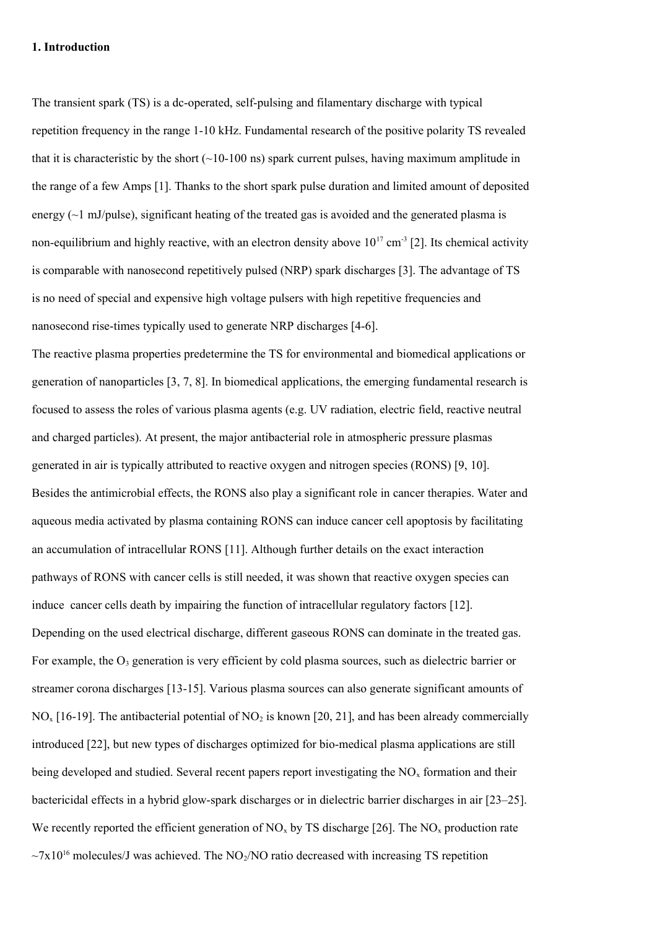## **1. Introduction**

The transient spark (TS) is a dc-operated, self-pulsing and filamentary discharge with typical repetition frequency in the range 1-10 kHz. Fundamental research of the positive polarity TS revealed that it is characteristic by the short  $(\sim 10-100 \text{ ns})$  spark current pulses, having maximum amplitude in the range of a few Amps [1]. Thanks to the short spark pulse duration and limited amount of deposited energy  $(\sim)$  mJ/pulse), significant heating of the treated gas is avoided and the generated plasma is non-equilibrium and highly reactive, with an electron density above  $10^{17}$  cm<sup>-3</sup> [2]. Its chemical activity is comparable with nanosecond repetitively pulsed (NRP) spark discharges [3]. The advantage of TS is no need of special and expensive high voltage pulsers with high repetitive frequencies and nanosecond rise-times typically used to generate NRP discharges [4-6].

The reactive plasma properties predetermine the TS for environmental and biomedical applications or generation of nanoparticles [3, 7, 8]. In biomedical applications, the emerging fundamental research is focused to assess the roles of various plasma agents (e.g. UV radiation, electric field, reactive neutral and charged particles). At present, the major antibacterial role in atmospheric pressure plasmas generated in air is typically attributed to reactive oxygen and nitrogen species (RONS) [9, 10]. Besides the antimicrobial effects, the RONS also play a significant role in cancer therapies. Water and aqueous media activated by plasma containing RONS can induce cancer cell apoptosis by facilitating an accumulation of intracellular RONS [11]. Although further details on the exact interaction pathways of RONS with cancer cells is still needed, it was shown that reactive oxygen species can induce cancer cells death by impairing the function of intracellular regulatory factors [12]. Depending on the used electrical discharge, different gaseous RONS can dominate in the treated gas. For example, the  $O_3$  generation is very efficient by cold plasma sources, such as dielectric barrier or streamer corona discharges [13-15]. Various plasma sources can also generate significant amounts of  $NO<sub>x</sub>$  [16-19]. The antibacterial potential of  $NO<sub>2</sub>$  is known [20, 21], and has been already commercially introduced [22], but new types of discharges optimized for bio-medical plasma applications are still being developed and studied. Several recent papers report investigating the  $NO<sub>x</sub>$  formation and their bactericidal effects in a hybrid glow-spark discharges or in dielectric barrier discharges in air [23–25]. We recently reported the efficient generation of NO<sub>x</sub> by TS discharge [26]. The NO<sub>x</sub> production rate  $\sim$ 7x10<sup>16</sup> molecules/J was achieved. The NO<sub>2</sub>/NO ratio decreased with increasing TS repetition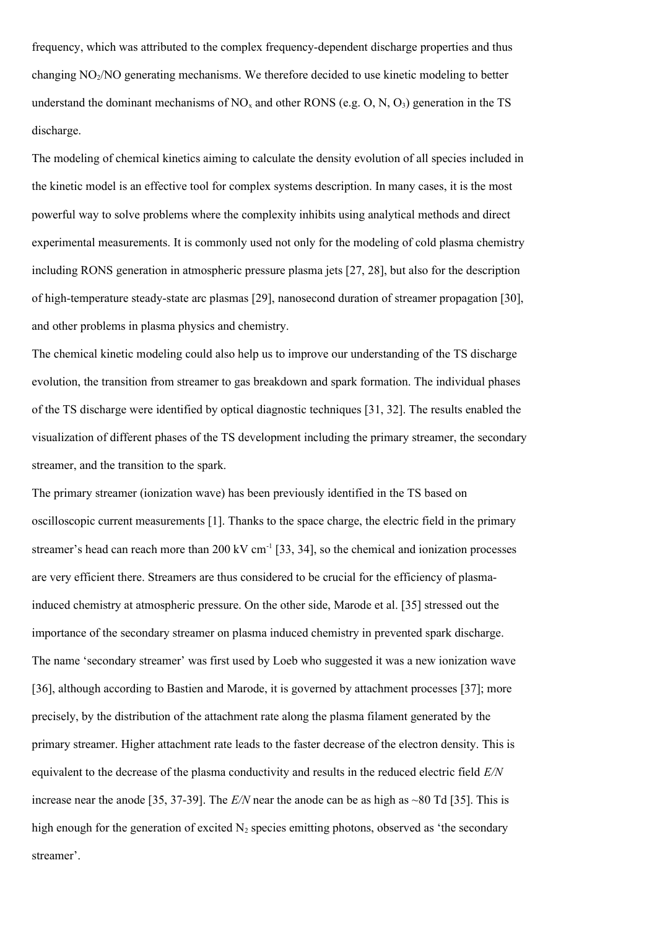frequency, which was attributed to the complex frequency-dependent discharge properties and thus changing  $NO<sub>2</sub>/NO$  generating mechanisms. We therefore decided to use kinetic modeling to better understand the dominant mechanisms of  $NO<sub>x</sub>$  and other RONS (e.g. O, N, O<sub>3</sub>) generation in the TS discharge.

The modeling of chemical kinetics aiming to calculate the density evolution of all species included in the kinetic model is an effective tool for complex systems description. In many cases, it is the most powerful way to solve problems where the complexity inhibits using analytical methods and direct experimental measurements. It is commonly used not only for the modeling of cold plasma chemistry including RONS generation in atmospheric pressure plasma jets [27, 28], but also for the description of high-temperature steady-state arc plasmas [29], nanosecond duration of streamer propagation [30], and other problems in plasma physics and chemistry.

The chemical kinetic modeling could also help us to improve our understanding of the TS discharge evolution, the transition from streamer to gas breakdown and spark formation. The individual phases of the TS discharge were identified by optical diagnostic techniques [31, 32]. The results enabled the visualization of different phases of the TS development including the primary streamer, the secondary streamer, and the transition to the spark.

The primary streamer (ionization wave) has been previously identified in the TS based on oscilloscopic current measurements [1]. Thanks to the space charge, the electric field in the primary streamer's head can reach more than  $200 \text{ kV cm}^{-1}$  [33, 34], so the chemical and ionization processes are very efficient there. Streamers are thus considered to be crucial for the efficiency of plasmainduced chemistry at atmospheric pressure. On the other side, Marode et al. [35] stressed out the importance of the secondary streamer on plasma induced chemistry in prevented spark discharge. The name 'secondary streamer' was first used by Loeb who suggested it was a new ionization wave [36], although according to Bastien and Marode, it is governed by attachment processes [37]; more precisely, by the distribution of the attachment rate along the plasma filament generated by the primary streamer. Higher attachment rate leads to the faster decrease of the electron density. This is equivalent to the decrease of the plasma conductivity and results in the reduced electric field *E/N* increase near the anode [35, 37-39]. The *E/N* near the anode can be as high as ~80 Td [35]. This is high enough for the generation of excited  $N_2$  species emitting photons, observed as 'the secondary streamer'.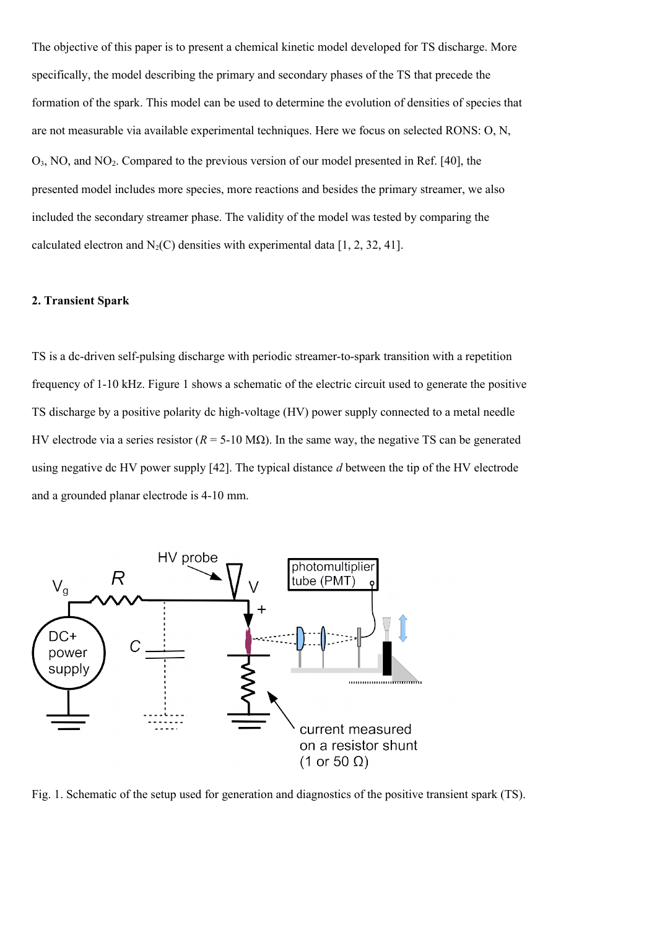The objective of this paper is to present a chemical kinetic model developed for TS discharge. More specifically, the model describing the primary and secondary phases of the TS that precede the formation of the spark. This model can be used to determine the evolution of densities of species that are not measurable via available experimental techniques. Here we focus on selected RONS: O, N, O3, NO, and NO2. Compared to the previous version of our model presented in Ref. [40], the presented model includes more species, more reactions and besides the primary streamer, we also included the secondary streamer phase. The validity of the model was tested by comparing the calculated electron and  $N_2(C)$  densities with experimental data [1, 2, 32, 41].

### **2. Transient Spark**

TS is a dc-driven self-pulsing discharge with periodic streamer-to-spark transition with a repetition frequency of 1-10 kHz. Figure 1 shows a schematic of the electric circuit used to generate the positive TS discharge by a positive polarity dc high-voltage (HV) power supply connected to a metal needle HV electrode via a series resistor ( $R = 5-10$  MΩ). In the same way, the negative TS can be generated using negative dc HV power supply [42]. The typical distance *d* between the tip of the HV electrode and a grounded planar electrode is 4-10 mm.



Fig. 1. Schematic of the setup used for generation and diagnostics of the positive transient spark (TS).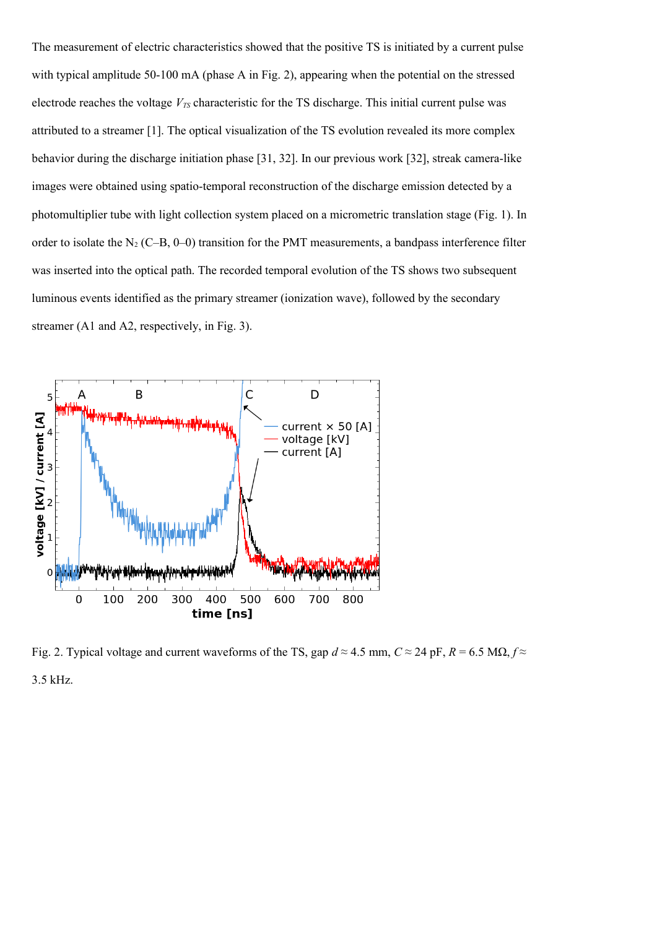The measurement of electric characteristics showed that the positive TS is initiated by a current pulse with typical amplitude 50-100 mA (phase A in Fig. 2), appearing when the potential on the stressed electrode reaches the voltage *VTS* characteristic for the TS discharge. This initial current pulse was attributed to a streamer [1]. The optical visualization of the TS evolution revealed its more complex behavior during the discharge initiation phase [31, 32]. In our previous work [32], streak camera-like images were obtained using spatio-temporal reconstruction of the discharge emission detected by a photomultiplier tube with light collection system placed on a micrometric translation stage (Fig. 1). In order to isolate the  $N_2$  (C–B, 0–0) transition for the PMT measurements, a bandpass interference filter was inserted into the optical path. The recorded temporal evolution of the TS shows two subsequent luminous events identified as the primary streamer (ionization wave), followed by the secondary streamer (A1 and A2, respectively, in Fig. 3).



Fig. 2. Typical voltage and current waveforms of the TS, gap  $d \approx 4.5$  mm,  $C \approx 24$  pF,  $R = 6.5$  MQ,  $f \approx$ 3.5 kHz.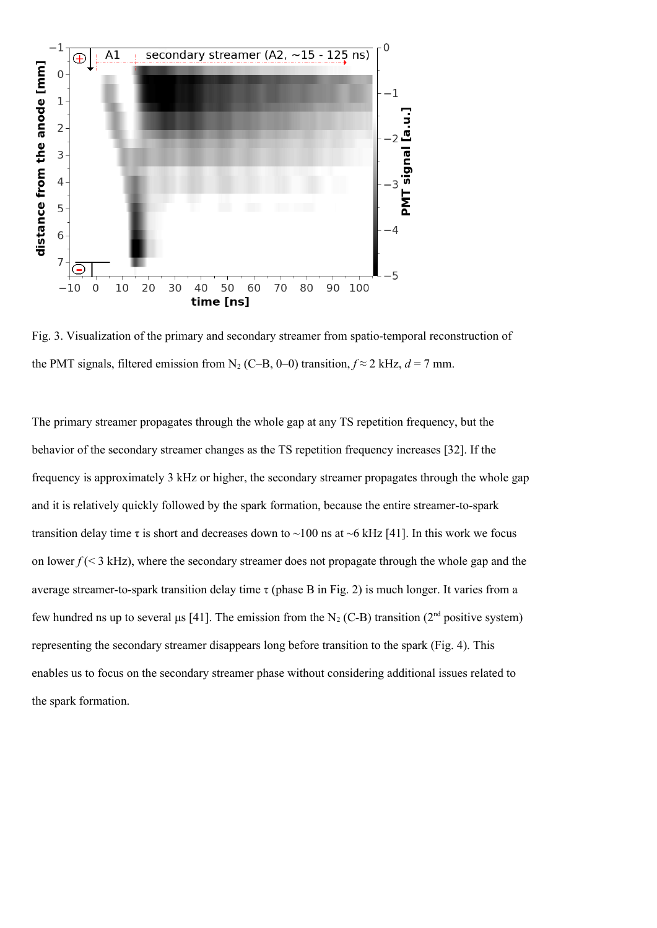

Fig. 3. Visualization of the primary and secondary streamer from spatio-temporal reconstruction of the PMT signals, filtered emission from N<sub>2</sub> (C–B, 0–0) transition,  $f \approx 2$  kHz,  $d = 7$  mm.

The primary streamer propagates through the whole gap at any TS repetition frequency, but the behavior of the secondary streamer changes as the TS repetition frequency increases [32]. If the frequency is approximately 3 kHz or higher, the secondary streamer propagates through the whole gap and it is relatively quickly followed by the spark formation, because the entire streamer-to-spark transition delay time  $\tau$  is short and decreases down to ~100 ns at ~6 kHz [41]. In this work we focus on lower  $f \leq 3$  kHz), where the secondary streamer does not propagate through the whole gap and the average streamer-to-spark transition delay time  $\tau$  (phase B in Fig. 2) is much longer. It varies from a few hundred ns up to several μs [41]. The emission from the N<sub>2</sub> (C-B) transition (2<sup>nd</sup> positive system) representing the secondary streamer disappears long before transition to the spark (Fig. 4). This enables us to focus on the secondary streamer phase without considering additional issues related to the spark formation.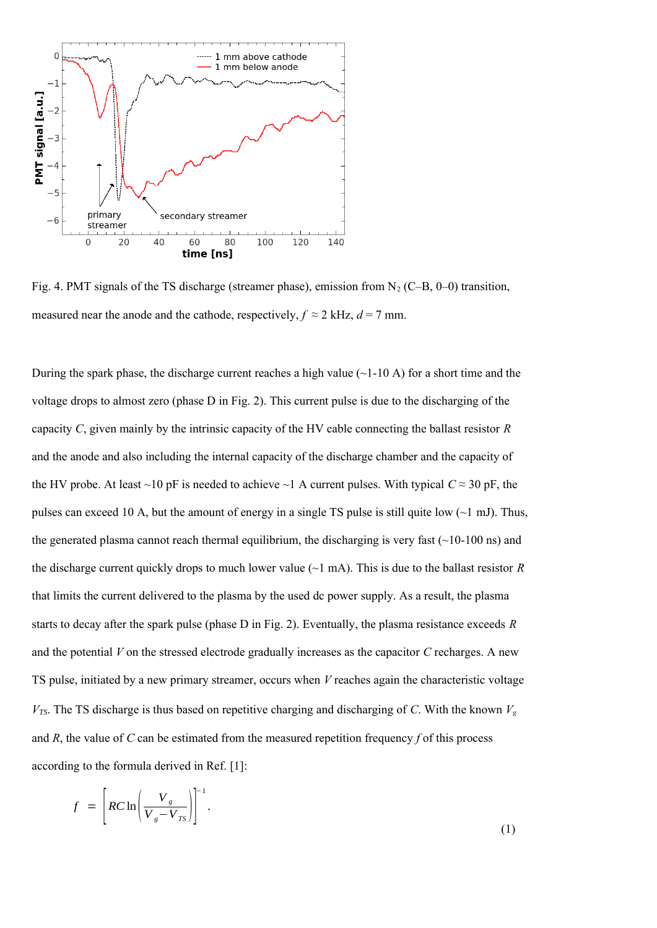

Fig. 4. PMT signals of the TS discharge (streamer phase), emission from  $N_2$  (C–B, 0–0) transition, measured near the anode and the cathode, respectively,  $f \approx 2$  kHz,  $d = 7$  mm.

During the spark phase, the discharge current reaches a high value  $(\sim 1-10 \text{ A})$  for a short time and the voltage drops to almost zero (phase D in Fig. 2). This current pulse is due to the discharging of the capacity *C*, given mainly by the intrinsic capacity of the HV cable connecting the ballast resistor *R* and the anode and also including the internal capacity of the discharge chamber and the capacity of the HV probe. At least ~10 pF is needed to achieve ~1 A current pulses. With typical  $C \approx 30$  pF, the pulses can exceed 10 A, but the amount of energy in a single TS pulse is still quite low  $(\sim 1 \text{ mJ})$ . Thus, the generated plasma cannot reach thermal equilibrium, the discharging is very fast  $(\sim 10{\text -}100 \text{ ns})$  and the discharge current quickly drops to much lower value ( $\sim$ 1 mA). This is due to the ballast resistor *R* that limits the current delivered to the plasma by the used dc power supply. As a result, the plasma starts to decay after the spark pulse (phase D in Fig. 2). Eventually, the plasma resistance exceeds *R* and the potential *V* on the stressed electrode gradually increases as the capacitor *C* recharges. A new TS pulse, initiated by a new primary streamer, occurs when *V* reaches again the characteristic voltage  $V_{\text{TS}}$ . The TS discharge is thus based on repetitive charging and discharging of *C*. With the known  $V_{g}$ and *R*, the value of *C* can be estimated from the measured repetition frequency *f* of this process according to the formula derived in Ref. [1]:

$$
f = \left[ RC \ln \left( \frac{V_g}{V_g - V_{TS}} \right) \right]^{-1}.
$$
\n(1)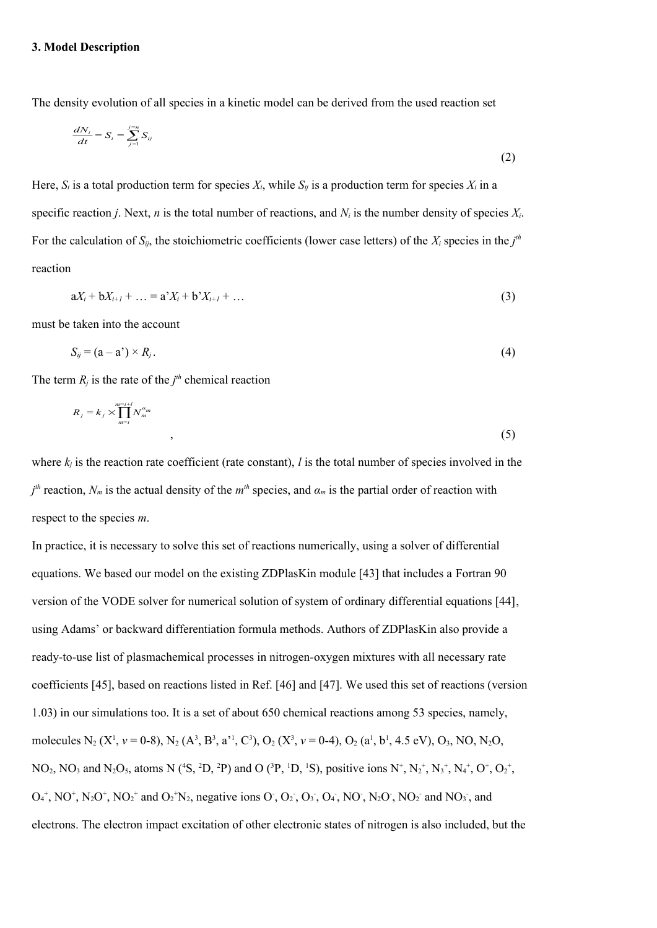The density evolution of all species in a kinetic model can be derived from the used reaction set

$$
\frac{dN_i}{dt} = S_i = \sum_{j=1}^{j=n} S_{ij} \tag{2}
$$

Here,  $S_i$  is a total production term for species  $X_i$ , while  $S_{ij}$  is a production term for species  $X_i$  in a specific reaction *j*. Next, *n* is the total number of reactions, and  $N_i$  is the number density of species  $X_i$ . For the calculation of  $S_{ij}$ , the stoichiometric coefficients (lower case letters) of the  $X_i$  species in the  $j<sup>th</sup>$ reaction

$$
aX_i + bX_{i+1} + \dots = a^*X_i + b^*X_{i+1} + \dots
$$
\n(3)

must be taken into the account

$$
S_{ij} = (a - a') \times R_j. \tag{4}
$$

The term  $R_j$  is the rate of the  $j<sup>th</sup>$  chemical reaction

$$
R_j = k_j \times \prod_{m=i}^{m=i+1} N_m^{\alpha_m} \tag{5}
$$

where  $k_i$  is the reaction rate coefficient (rate constant), *l* is the total number of species involved in the  $j<sup>th</sup>$  reaction,  $N<sub>m</sub>$  is the actual density of the  $m<sup>th</sup>$  species, and  $\alpha<sub>m</sub>$  is the partial order of reaction with respect to the species *m*.

In practice, it is necessary to solve this set of reactions numerically, using a solver of differential equations. We based our model on the existing ZDPlasKin module [43] that includes a Fortran 90 version of the VODE solver for numerical solution of system of ordinary differential equations [44], using Adams' or backward differentiation formula methods. Authors of ZDPlasKin also provide a ready-to-use list of plasmachemical processes in nitrogen-oxygen mixtures with all necessary rate coefficients [45], based on reactions listed in Ref. [46] and [47]. We used this set of reactions (version 1.03) in our simulations too. It is a set of about 650 chemical reactions among 53 species, namely, molecules N<sub>2</sub> (X<sup>1</sup>,  $v = 0.8$ ), N<sub>2</sub> (A<sup>3</sup>, B<sup>3</sup>, a<sup>3</sup>, C<sup>3</sup>), O<sub>2</sub> (X<sup>3</sup>,  $v = 0.4$ ), O<sub>2</sub> (a<sup>1</sup>, b<sup>1</sup>, 4.5 eV), O<sub>3</sub>, NO, N<sub>2</sub>O, NO<sub>2</sub>, NO<sub>3</sub> and N<sub>2</sub>O<sub>5</sub>, atoms N (<sup>4</sup>S, <sup>2</sup>D, <sup>2</sup>P) and O (<sup>3</sup>P, <sup>1</sup>D, <sup>1</sup>S), positive ions N<sup>+</sup>, N<sub>2</sub><sup>+</sup>, N<sub>3</sub><sup>+</sup>, N<sub>4</sub><sup>+</sup>, O<sup>+</sup>, O<sub>2</sub><sup>+</sup>,  $O_4^+$ , NO<sup>+</sup>, N<sub>2</sub>O<sup>+</sup>, NO<sub>2</sub><sup>+</sup> and  $O_2^+N_2$ , negative ions O<sub>2</sub>, O<sub>2</sub>, O<sub>3</sub>, O<sub>4</sub>, NO<sub>2</sub>, N<sub>2</sub>O<sub>2</sub>, NO<sub>2</sub><sup>-</sup> and NO<sub>3</sub><sup>-</sup>, and electrons. The electron impact excitation of other electronic states of nitrogen is also included, but the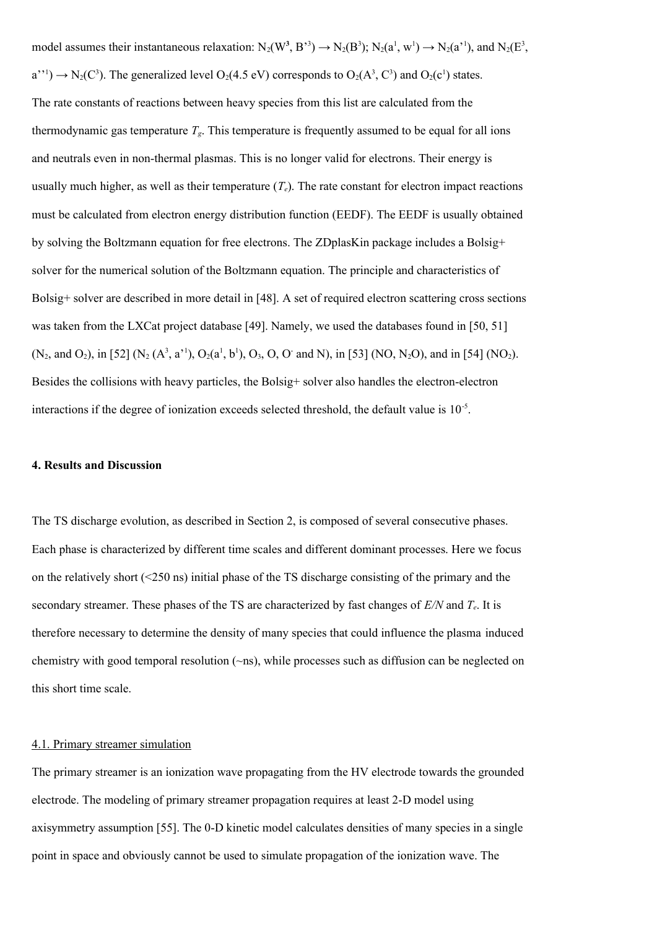model assumes their instantaneous relaxation:  $N_2(W^3, B^{3}) \to N_2(B^3)$ ;  $N_2(a^1, w^1) \to N_2(a^{11})$ , and  $N_2(E^3, B^{3})$  $a^{\prime\prime\prime}$ )  $\rightarrow$  N<sub>2</sub>(C<sup>3</sup>). The generalized level O<sub>2</sub>(4.5 eV) corresponds to O<sub>2</sub>(A<sup>3</sup>, C<sup>3</sup>) and O<sub>2</sub>(c<sup>1</sup>) states. The rate constants of reactions between heavy species from this list are calculated from the thermodynamic gas temperature  $T_g$ . This temperature is frequently assumed to be equal for all ions and neutrals even in non-thermal plasmas. This is no longer valid for electrons. Their energy is usually much higher, as well as their temperature  $(T_e)$ . The rate constant for electron impact reactions must be calculated from electron energy distribution function (EEDF). The EEDF is usually obtained by solving the Boltzmann equation for free electrons. The ZDplasKin package includes a Bolsig+ solver for the numerical solution of the Boltzmann equation. The principle and characteristics of Bolsig+ solver are described in more detail in [48]. A set of required electron scattering cross sections was taken from the LXCat project database [49]. Namely, we used the databases found in [50, 51]  $(N_2, \text{ and } O_2)$ , in [52]  $(N_2 (A^3, a^1), O_2(a^1, b^1), O_3, O, O^2$  and N), in [53] (NO, N<sub>2</sub>O), and in [54] (NO<sub>2</sub>). Besides the collisions with heavy particles, the Bolsig+ solver also handles the electron-electron interactions if the degree of ionization exceeds selected threshold, the default value is  $10^{-5}$ .

#### **4. Results and Discussion**

The TS discharge evolution, as described in Section 2, is composed of several consecutive phases. Each phase is characterized by different time scales and different dominant processes. Here we focus on the relatively short (<250 ns) initial phase of the TS discharge consisting of the primary and the secondary streamer. These phases of the TS are characterized by fast changes of *E/N* and *Te*. It is therefore necessary to determine the density of many species that could influence the plasma induced chemistry with good temporal resolution (~ns), while processes such as diffusion can be neglected on this short time scale.

#### 4.1. Primary streamer simulation

The primary streamer is an ionization wave propagating from the HV electrode towards the grounded electrode. The modeling of primary streamer propagation requires at least 2-D model using axisymmetry assumption [55]. The 0-D kinetic model calculates densities of many species in a single point in space and obviously cannot be used to simulate propagation of the ionization wave. The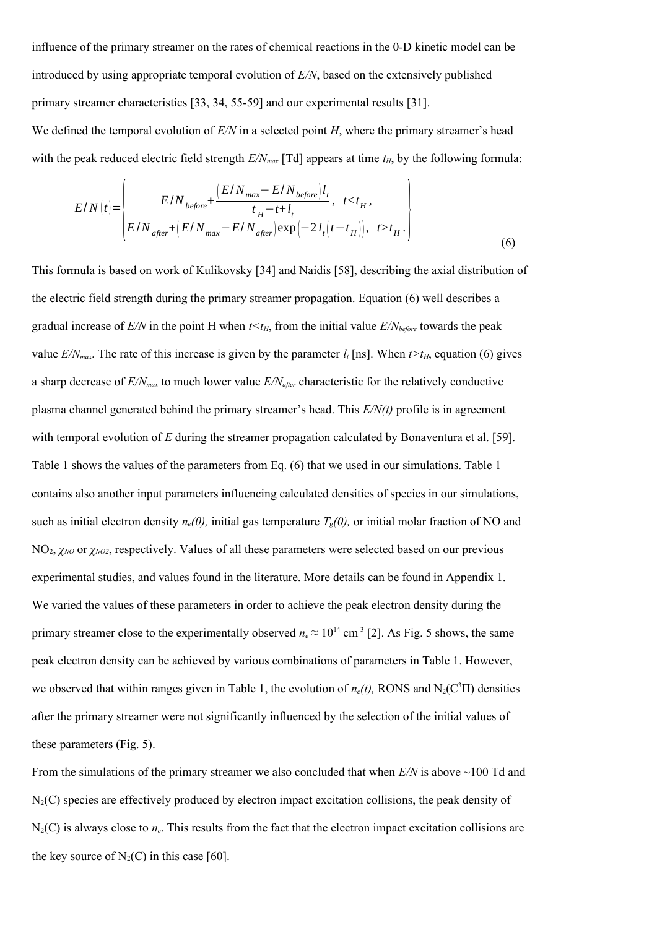influence of the primary streamer on the rates of chemical reactions in the 0-D kinetic model can be introduced by using appropriate temporal evolution of *E/N*, based on the extensively published primary streamer characteristics [33, 34, 55-59] and our experimental results [31].

We defined the temporal evolution of  $E/N$  in a selected point *H*, where the primary streamer's head with the peak reduced electric field strength  $E/N_{max}$  [Td] appears at time  $t_H$ , by the following formula:

$$
E/N(t) = \begin{cases} E/N_{before} + \frac{(E/N_{max} - E/N_{before})l_t}{t_H - t + l_t}, & t < t_H, \\ E/N_{after} + (E/N_{max} - E/N_{after}) \exp(-2l_t(t - t_H)), & t > t_H. \end{cases}
$$
(6)

This formula is based on work of Kulikovsky [34] and Naidis [58], describing the axial distribution of the electric field strength during the primary streamer propagation. Equation (6) well describes a gradual increase of  $E/N$  in the point H when  $t \leq t_H$ , from the initial value  $E/N_{before}$  towards the peak value  $E/N_{max}$ . The rate of this increase is given by the parameter  $l_t$  [ns]. When  $t > t_H$ , equation (6) gives a sharp decrease of *E/Nmax* to much lower value *E/Nafter* characteristic for the relatively conductive plasma channel generated behind the primary streamer's head. This *E/N(t)* profile is in agreement with temporal evolution of *E* during the streamer propagation calculated by Bonaventura et al. [59]. Table 1 shows the values of the parameters from Eq. (6) that we used in our simulations. Table 1 contains also another input parameters influencing calculated densities of species in our simulations, such as initial electron density  $n_e(0)$ , initial gas temperature  $T_g(0)$ , or initial molar fraction of NO and NO2, *χNO* or *χNO2*, respectively. Values of all these parameters were selected based on our previous experimental studies, and values found in the literature. More details can be found in Appendix 1. We varied the values of these parameters in order to achieve the peak electron density during the primary streamer close to the experimentally observed  $n_e \approx 10^{14}$  cm<sup>-3</sup> [2]. As Fig. 5 shows, the same peak electron density can be achieved by various combinations of parameters in Table 1. However, we observed that within ranges given in Table 1, the evolution of  $n_e(t)$ , RONS and N<sub>2</sub>(C<sup>3</sup>II) densities after the primary streamer were not significantly influenced by the selection of the initial values of these parameters (Fig. 5).

From the simulations of the primary streamer we also concluded that when *E/N* is above ~100 Td and  $N_2(C)$  species are effectively produced by electron impact excitation collisions, the peak density of N<sub>2</sub>(C) is always close to  $n_e$ . This results from the fact that the electron impact excitation collisions are the key source of  $N_2(C)$  in this case [60].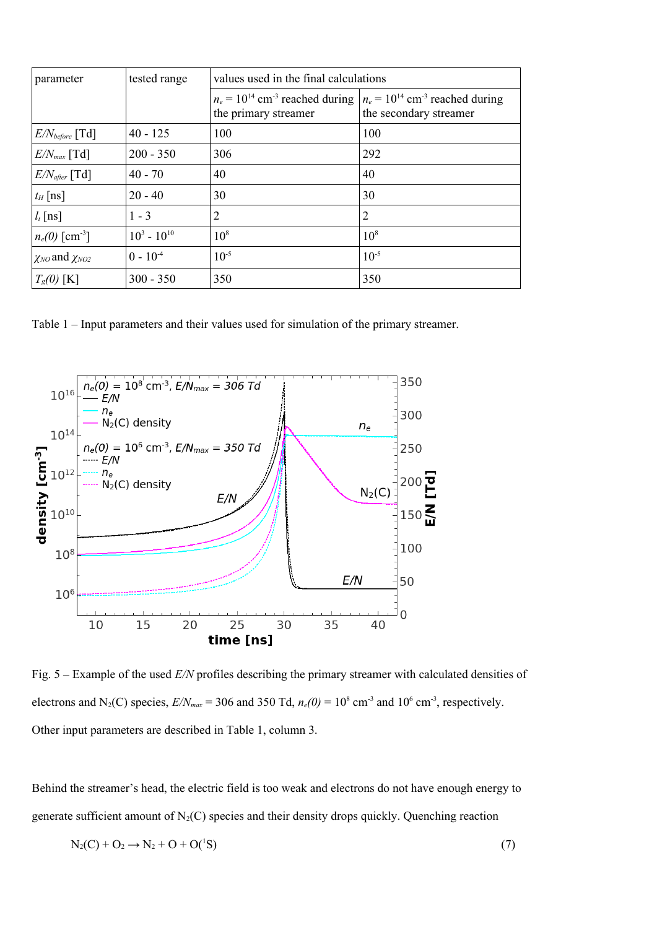| parameter                    | tested range     | values used in the final calculations                                   |                                                                           |
|------------------------------|------------------|-------------------------------------------------------------------------|---------------------------------------------------------------------------|
|                              |                  | $n_e = 10^{14}$ cm <sup>-3</sup> reached during<br>the primary streamer | $n_e = 10^{14}$ cm <sup>-3</sup> reached during<br>the secondary streamer |
| $E/N_{before}$ [Td]          | $40 - 125$       | 100                                                                     | 100                                                                       |
| $E/N_{max}$ [Td]             | $200 - 350$      | 306                                                                     | 292                                                                       |
| $E/N_{after}$ [Td]           | $40 - 70$        | 40                                                                      | 40                                                                        |
| $t_H$ [ns]                   | $20 - 40$        | 30                                                                      | 30                                                                        |
| $l_t$ [ns]                   | $1 - 3$          | 2                                                                       | 2                                                                         |
| $n_e(0)$ [cm <sup>-3</sup> ] | $10^3 - 10^{10}$ | $10^{8}$                                                                | $10^{8}$                                                                  |
| $\chi_{NO}$ and $\chi_{NO2}$ | $0 - 10^{-4}$    | $10^{-5}$                                                               | $10^{-5}$                                                                 |
| $T_{g}(0)$ [K]               | $300 - 350$      | 350                                                                     | 350                                                                       |

Table 1 – Input parameters and their values used for simulation of the primary streamer.



Fig. 5 – Example of the used *E/N* profiles describing the primary streamer with calculated densities of electrons and N<sub>2</sub>(C) species,  $E/N_{max}$  = 306 and 350 Td,  $n_e(0)$  = 10<sup>8</sup> cm<sup>-3</sup> and 10<sup>6</sup> cm<sup>-3</sup>, respectively. Other input parameters are described in Table 1, column 3.

Behind the streamer's head, the electric field is too weak and electrons do not have enough energy to generate sufficient amount of  $N_2(C)$  species and their density drops quickly. Quenching reaction

$$
N_2(C) + O_2 \to N_2 + O + O(^{1}S)
$$
\n(7)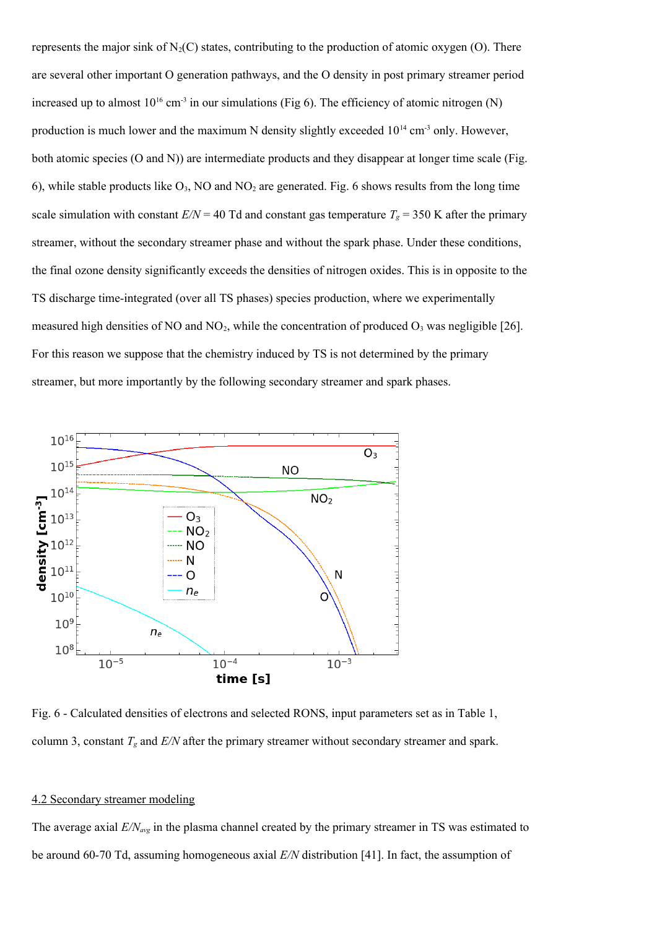represents the major sink of  $N_2(C)$  states, contributing to the production of atomic oxygen (O). There are several other important O generation pathways, and the O density in post primary streamer period increased up to almost  $10^{16}$  cm<sup>-3</sup> in our simulations (Fig 6). The efficiency of atomic nitrogen (N) production is much lower and the maximum N density slightly exceeded  $10^{14}$  cm<sup>-3</sup> only. However, both atomic species (O and N)) are intermediate products and they disappear at longer time scale (Fig. 6), while stable products like  $O_3$ , NO and NO<sub>2</sub> are generated. Fig. 6 shows results from the long time scale simulation with constant  $E/N = 40$  Td and constant gas temperature  $T_g = 350$  K after the primary streamer, without the secondary streamer phase and without the spark phase. Under these conditions, the final ozone density significantly exceeds the densities of nitrogen oxides. This is in opposite to the TS discharge time-integrated (over all TS phases) species production, where we experimentally measured high densities of NO and  $NO<sub>2</sub>$ , while the concentration of produced  $O<sub>3</sub>$  was negligible [26]. For this reason we suppose that the chemistry induced by TS is not determined by the primary streamer, but more importantly by the following secondary streamer and spark phases.



Fig. 6 - Calculated densities of electrons and selected RONS, input parameters set as in Table 1, column 3, constant *Tg* and *E/N* after the primary streamer without secondary streamer and spark.

# 4.2 Secondary streamer modeling

The average axial *E/Navg* in the plasma channel created by the primary streamer in TS was estimated to be around 60-70 Td, assuming homogeneous axial *E/N* distribution [41]. In fact, the assumption of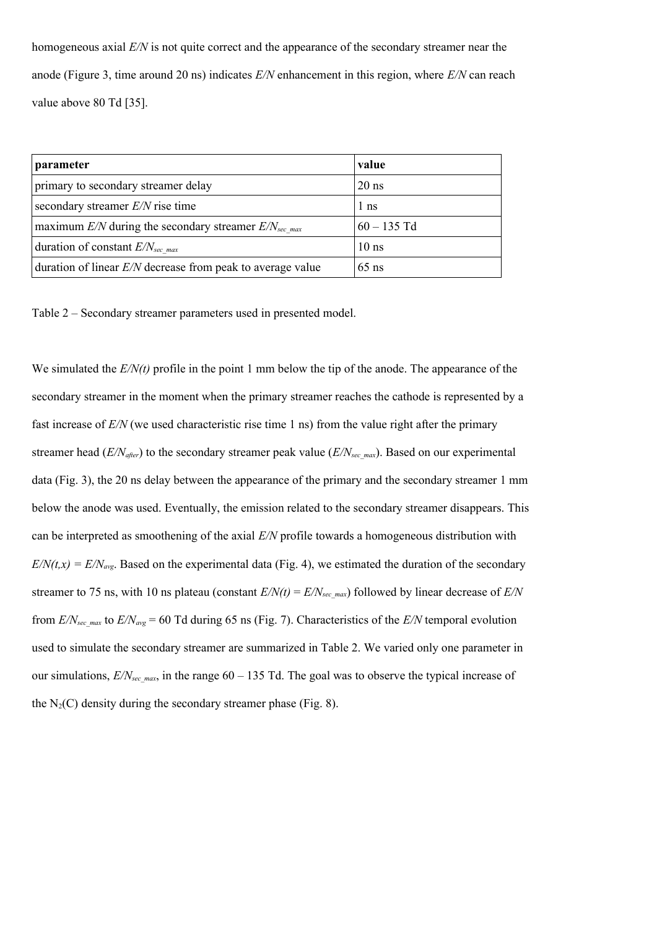homogeneous axial *E/N* is not quite correct and the appearance of the secondary streamer near the anode (Figure 3, time around 20 ns) indicates *E/N* enhancement in this region, where *E/N* can reach value above 80 Td [35].

| parameter                                                    | value            |
|--------------------------------------------------------------|------------------|
| primary to secondary streamer delay                          | $20$ ns          |
| secondary streamer $E/N$ rise time                           | 1 ns             |
| maximum $E/N$ during the secondary streamer $E/Nsec$ max     | $60 - 135$ Td    |
| duration of constant $E/N_{sec \, max}$                      | 10 <sub>ns</sub> |
| duration of linear $E/N$ decrease from peak to average value | $65$ ns          |

Table 2 – Secondary streamer parameters used in presented model.

We simulated the *E/N(t)* profile in the point 1 mm below the tip of the anode. The appearance of the secondary streamer in the moment when the primary streamer reaches the cathode is represented by a fast increase of *E/N* (we used characteristic rise time 1 ns) from the value right after the primary streamer head (*E/N<sub>after</sub>*) to the secondary streamer peak value (*E/N<sub>sec\_max</sub>*). Based on our experimental data (Fig. 3), the 20 ns delay between the appearance of the primary and the secondary streamer 1 mm below the anode was used. Eventually, the emission related to the secondary streamer disappears. This can be interpreted as smoothening of the axial *E/N* profile towards a homogeneous distribution with  $E/N(t, x) = E/N_{avg}$ . Based on the experimental data (Fig. 4), we estimated the duration of the secondary streamer to 75 ns, with 10 ns plateau (constant  $E/N(t) = E/N_{\text{sec max}}$ ) followed by linear decrease of  $E/N$ from  $E/N_{\text{sec max}}$  to  $E/N_{\text{avg}}$  = 60 Td during 65 ns (Fig. 7). Characteristics of the  $E/N$  temporal evolution used to simulate the secondary streamer are summarized in Table 2. We varied only one parameter in our simulations,  $E/N_{\text{sec max}}$ , in the range 60 – 135 Td. The goal was to observe the typical increase of the  $N_2(C)$  density during the secondary streamer phase (Fig. 8).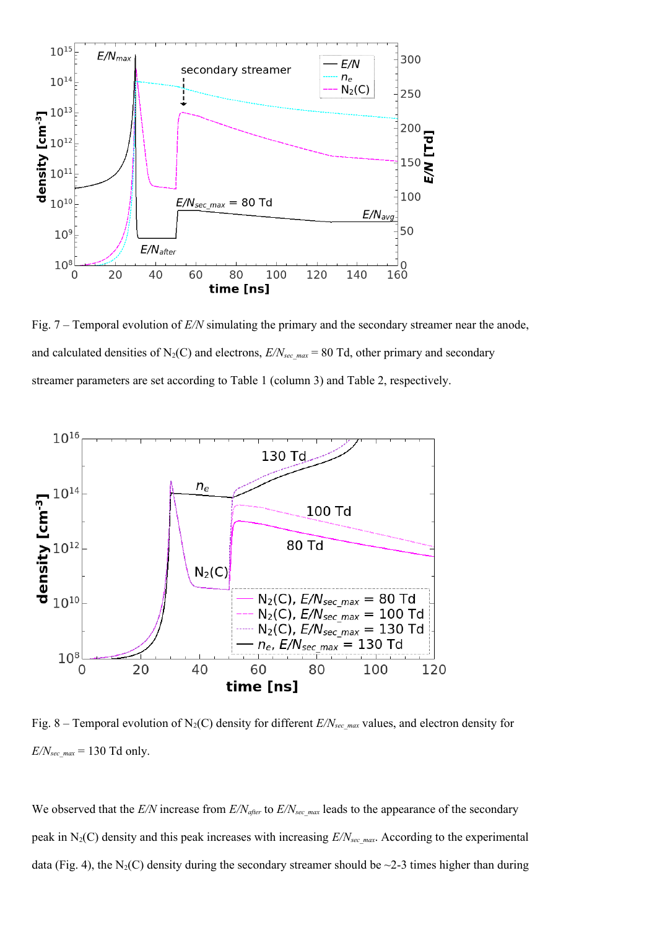

Fig. 7 – Temporal evolution of *E/N* simulating the primary and the secondary streamer near the anode, and calculated densities of  $N_2(C)$  and electrons,  $E/N_{sec\_max}$  = 80 Td, other primary and secondary streamer parameters are set according to Table 1 (column 3) and Table 2, respectively.



Fig. 8 – Temporal evolution of N<sub>2</sub>(C) density for different *E/N<sub>sec\_max</sub>* values, and electron density for  $E/N_{sec\_max}$  = 130 Td only.

We observed that the *E/N* increase from *E/N*<sub>after</sub> to *E/N*<sub>sec max</sub> leads to the appearance of the secondary peak in N<sub>2</sub>(C) density and this peak increases with increasing  $E/N<sub>sec</sub>$  *max*. According to the experimental data (Fig. 4), the N<sub>2</sub>(C) density during the secondary streamer should be  $\sim$ 2-3 times higher than during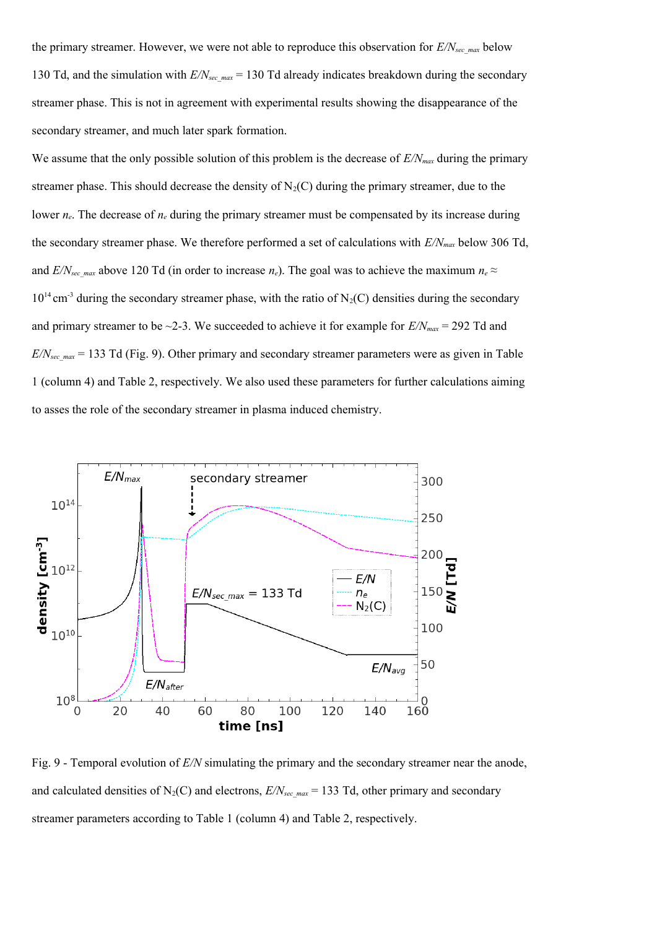the primary streamer. However, we were not able to reproduce this observation for  $E/N_{\text{sec max}}$  below 130 Td, and the simulation with  $E/N_{\text{sec max}}$  = 130 Td already indicates breakdown during the secondary streamer phase. This is not in agreement with experimental results showing the disappearance of the secondary streamer, and much later spark formation.

We assume that the only possible solution of this problem is the decrease of  $E/N_{max}$  during the primary streamer phase. This should decrease the density of  $N_2(C)$  during the primary streamer, due to the lower  $n_e$ . The decrease of  $n_e$  during the primary streamer must be compensated by its increase during the secondary streamer phase. We therefore performed a set of calculations with *E/Nmax* below 306 Td, and *E/N*<sub>sec max</sub> above 120 Td (in order to increase  $n_e$ ). The goal was to achieve the maximum  $n_e \approx$  $10^{14}$  cm<sup>-3</sup> during the secondary streamer phase, with the ratio of N<sub>2</sub>(C) densities during the secondary and primary streamer to be  $\sim$ 2-3. We succeeded to achieve it for example for  $E/N_{max}$  = 292 Td and *E/Nsec\_max* = 133 Td (Fig. 9). Other primary and secondary streamer parameters were as given in Table 1 (column 4) and Table 2, respectively. We also used these parameters for further calculations aiming to asses the role of the secondary streamer in plasma induced chemistry.



Fig. 9 - Temporal evolution of *E/N* simulating the primary and the secondary streamer near the anode, and calculated densities of N<sub>2</sub>(C) and electrons,  $E/N_{\text{sec,max}} = 133$  Td, other primary and secondary streamer parameters according to Table 1 (column 4) and Table 2, respectively.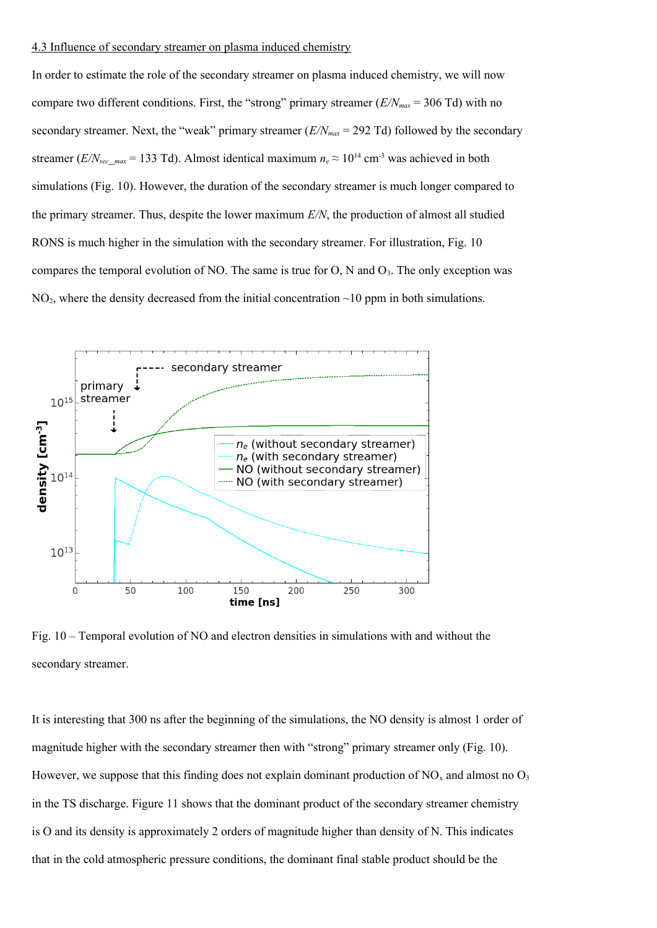#### 4.3 Influence of secondary streamer on plasma induced chemistry

In order to estimate the role of the secondary streamer on plasma induced chemistry, we will now compare two different conditions. First, the "strong" primary streamer  $(E/N_{max} = 306 \text{ Td})$  with no secondary streamer. Next, the "weak" primary streamer  $(E/N_{max} = 292 \text{ Td})$  followed by the secondary streamer (*E/N*<sub>sec</sub><sub>*max*</sub> = 133 Td). Almost identical maximum  $n_e \approx 10^{14}$  cm<sup>-3</sup> was achieved in both simulations (Fig. 10). However, the duration of the secondary streamer is much longer compared to the primary streamer. Thus, despite the lower maximum *E/N*, the production of almost all studied RONS is much higher in the simulation with the secondary streamer. For illustration, Fig. 10 compares the temporal evolution of NO. The same is true for  $O$ , N and  $O_3$ . The only exception was  $NO<sub>2</sub>$ , where the density decreased from the initial concentration  $\sim$ 10 ppm in both simulations.



Fig. 10 – Temporal evolution of NO and electron densities in simulations with and without the secondary streamer.

It is interesting that 300 ns after the beginning of the simulations, the NO density is almost 1 order of magnitude higher with the secondary streamer then with "strong" primary streamer only (Fig. 10). However, we suppose that this finding does not explain dominant production of  $NO<sub>x</sub>$  and almost no  $O<sub>3</sub>$ in the TS discharge. Figure 11 shows that the dominant product of the secondary streamer chemistry is O and its density is approximately 2 orders of magnitude higher than density of N. This indicates that in the cold atmospheric pressure conditions, the dominant final stable product should be the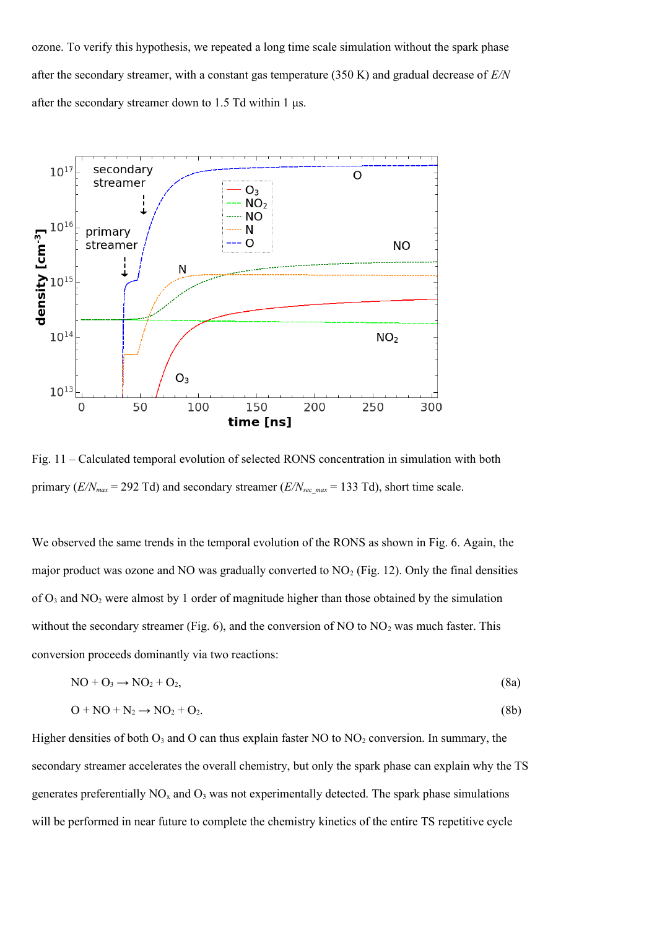ozone. To verify this hypothesis, we repeated a long time scale simulation without the spark phase after the secondary streamer, with a constant gas temperature (350 K) and gradual decrease of *E/N* after the secondary streamer down to 1.5 Td within 1  $\mu$ s.



Fig. 11 – Calculated temporal evolution of selected RONS concentration in simulation with both primary ( $E/N_{max}$  = 292 Td) and secondary streamer ( $E/N_{sec,max}$  = 133 Td), short time scale.

We observed the same trends in the temporal evolution of the RONS as shown in Fig. 6. Again, the major product was ozone and NO was gradually converted to  $NO<sub>2</sub>$  (Fig. 12). Only the final densities of O3 and NO2 were almost by 1 order of magnitude higher than those obtained by the simulation without the secondary streamer (Fig. 6), and the conversion of NO to  $NO<sub>2</sub>$  was much faster. This conversion proceeds dominantly via two reactions:

$$
NO + O_3 \rightarrow NO_2 + O_2, \tag{8a}
$$

$$
O + NO + N_2 \rightarrow NO_2 + O_2. \tag{8b}
$$

Higher densities of both  $O_3$  and O can thus explain faster NO to  $NO_2$  conversion. In summary, the secondary streamer accelerates the overall chemistry, but only the spark phase can explain why the TS generates preferentially  $NO<sub>x</sub>$  and  $O<sub>3</sub>$  was not experimentally detected. The spark phase simulations will be performed in near future to complete the chemistry kinetics of the entire TS repetitive cycle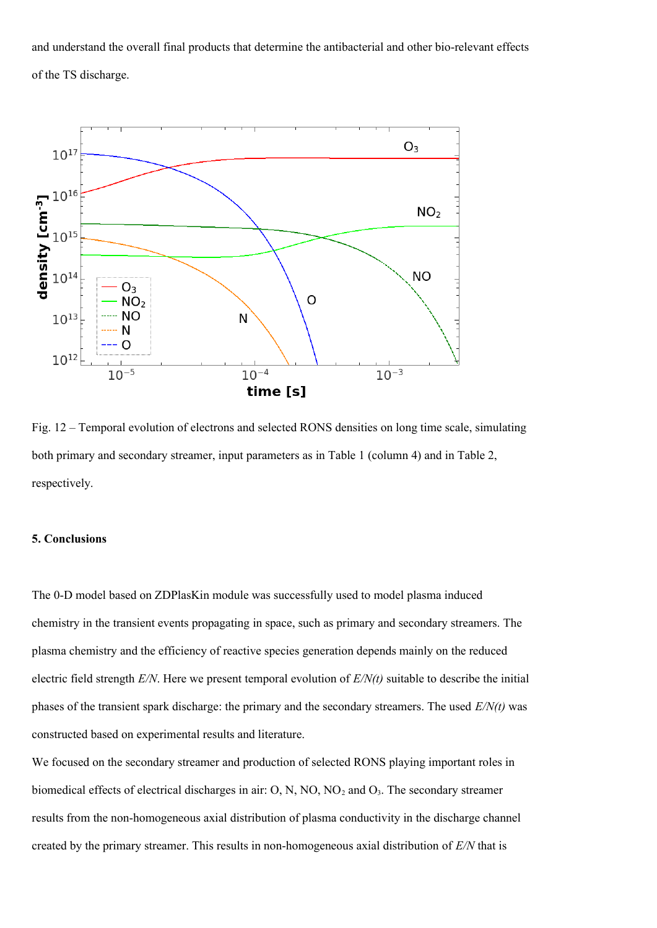and understand the overall final products that determine the antibacterial and other bio-relevant effects of the TS discharge.



Fig. 12 – Temporal evolution of electrons and selected RONS densities on long time scale, simulating both primary and secondary streamer, input parameters as in Table 1 (column 4) and in Table 2, respectively.

# **5. Conclusions**

The 0-D model based on ZDPlasKin module was successfully used to model plasma induced chemistry in the transient events propagating in space, such as primary and secondary streamers. The plasma chemistry and the efficiency of reactive species generation depends mainly on the reduced electric field strength *E/N*. Here we present temporal evolution of *E/N(t)* suitable to describe the initial phases of the transient spark discharge: the primary and the secondary streamers. The used *E/N(t)* was constructed based on experimental results and literature.

We focused on the secondary streamer and production of selected RONS playing important roles in biomedical effects of electrical discharges in air: O, N, NO, NO<sub>2</sub> and O<sub>3</sub>. The secondary streamer results from the non-homogeneous axial distribution of plasma conductivity in the discharge channel created by the primary streamer. This results in non-homogeneous axial distribution of *E/N* that is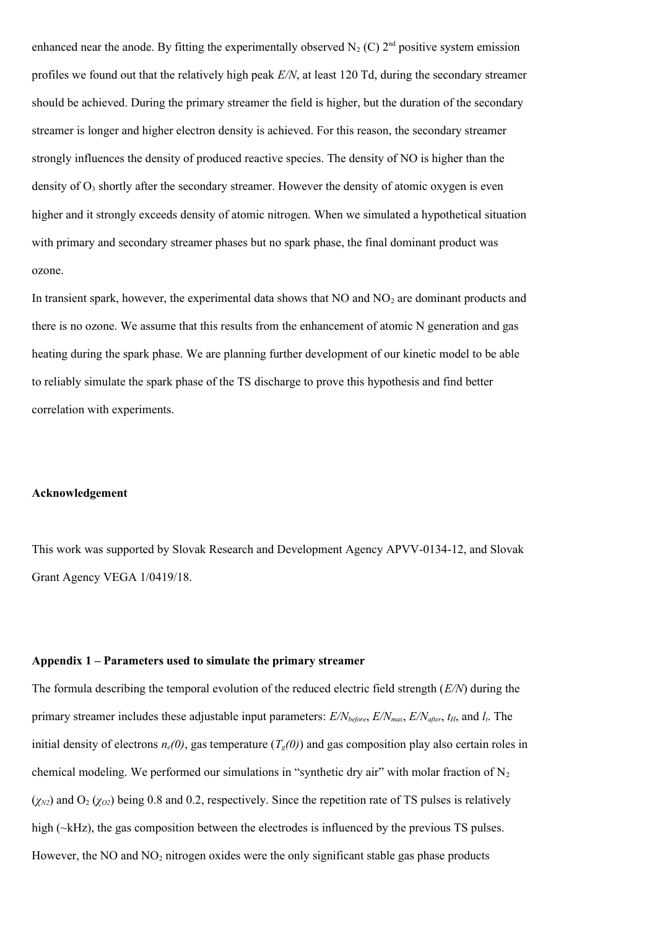enhanced near the anode. By fitting the experimentally observed  $N_2$  (C)  $2<sup>nd</sup>$  positive system emission profiles we found out that the relatively high peak *E/N*, at least 120 Td, during the secondary streamer should be achieved. During the primary streamer the field is higher, but the duration of the secondary streamer is longer and higher electron density is achieved. For this reason, the secondary streamer strongly influences the density of produced reactive species. The density of NO is higher than the density of  $O_3$  shortly after the secondary streamer. However the density of atomic oxygen is even higher and it strongly exceeds density of atomic nitrogen. When we simulated a hypothetical situation with primary and secondary streamer phases but no spark phase, the final dominant product was ozone.

In transient spark, however, the experimental data shows that  $NO$  and  $NO<sub>2</sub>$  are dominant products and there is no ozone. We assume that this results from the enhancement of atomic N generation and gas heating during the spark phase. We are planning further development of our kinetic model to be able to reliably simulate the spark phase of the TS discharge to prove this hypothesis and find better correlation with experiments.

### **Acknowledgement**

This work was supported by Slovak Research and Development Agency APVV-0134-12, and Slovak Grant Agency VEGA 1/0419/18.

#### **Appendix 1 – Parameters used to simulate the primary streamer**

The formula describing the temporal evolution of the reduced electric field strength (*E/N*) during the primary streamer includes these adjustable input parameters: *E/Nbefore*, *E/Nmax*, *E/Nafter*, *tH*, and *lt*. The initial density of electrons  $n_e(0)$ , gas temperature  $(T_e(0))$  and gas composition play also certain roles in chemical modeling. We performed our simulations in "synthetic dry air" with molar fraction of  $N_2$  $(\chi_{N2})$  and  $O_2$  ( $\chi_{O2}$ ) being 0.8 and 0.2, respectively. Since the repetition rate of TS pulses is relatively high (~kHz), the gas composition between the electrodes is influenced by the previous TS pulses. However, the NO and  $NO<sub>2</sub>$  nitrogen oxides were the only significant stable gas phase products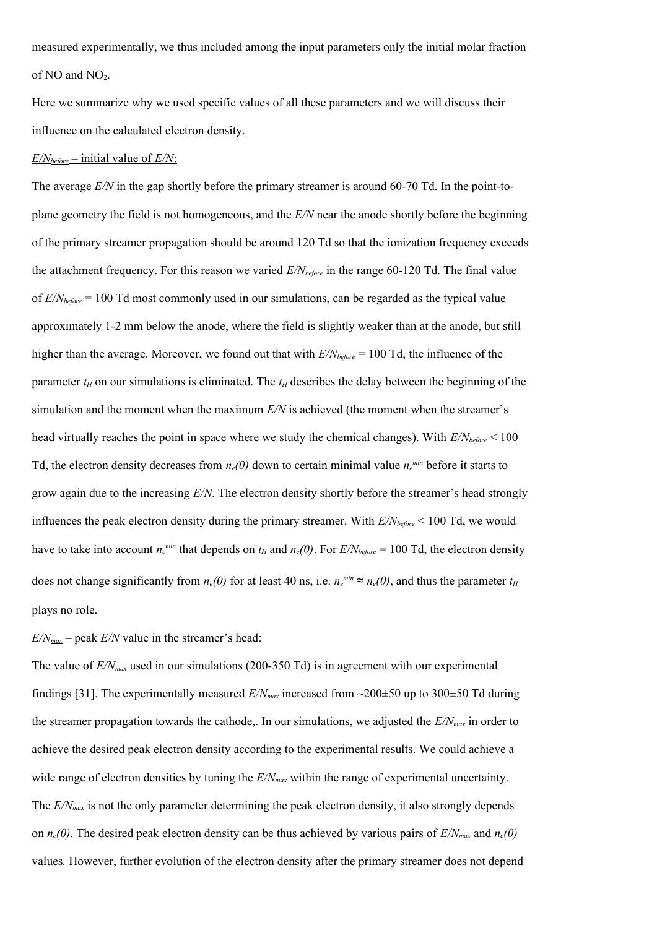measured experimentally, we thus included among the input parameters only the initial molar fraction of NO and  $NO<sub>2</sub>$ .

Here we summarize why we used specific values of all these parameters and we will discuss their influence on the calculated electron density.

## $E/N_{before}$  – initial value of  $E/N$ :

The average  $E/N$  in the gap shortly before the primary streamer is around 60-70 Td. In the point-toplane geometry the field is not homogeneous, and the *E/N* near the anode shortly before the beginning of the primary streamer propagation should be around 120 Td so that the ionization frequency exceeds the attachment frequency. For this reason we varied *E/Nbefore* in the range 60-120 Td. The final value of *E/Nbefore* = 100 Td most commonly used in our simulations, can be regarded as the typical value approximately 1-2 mm below the anode, where the field is slightly weaker than at the anode, but still higher than the average. Moreover, we found out that with *E/Nbefore* = 100 Td, the influence of the parameter  $t_H$  on our simulations is eliminated. The  $t_H$  describes the delay between the beginning of the simulation and the moment when the maximum *E/N* is achieved (the moment when the streamer's head virtually reaches the point in space where we study the chemical changes). With *E/Nbefore* < 100 Td, the electron density decreases from  $n_e(0)$  down to certain minimal value  $n_e^{min}$  before it starts to grow again due to the increasing *E/N*. The electron density shortly before the streamer's head strongly influences the peak electron density during the primary streamer. With *E/Nbefore* < 100 Td, we would have to take into account  $n_e^{min}$  that depends on  $t_H$  and  $n_e(0)$ . For  $E/N_{before} = 100$  Td, the electron density does not change significantly from  $n_e(0)$  for at least 40 ns, i.e.  $n_e^{min} \approx n_e(0)$ , and thus the parameter  $t_H$ plays no role.

## $E/N_{max}$  – peak  $E/N$  value in the streamer's head:

The value of  $E/N_{max}$  used in our simulations (200-350 Td) is in agreement with our experimental findings [31]. The experimentally measured  $E/N_{max}$  increased from  $\sim$ 200 $\pm$ 50 up to 300 $\pm$ 50 Td during the streamer propagation towards the cathode,. In our simulations, we adjusted the *E/Nmax* in order to achieve the desired peak electron density according to the experimental results. We could achieve a wide range of electron densities by tuning the  $E/N_{max}$  within the range of experimental uncertainty. The *E/N<sub>max</sub>* is not the only parameter determining the peak electron density, it also strongly depends on  $n_e(0)$ . The desired peak electron density can be thus achieved by various pairs of  $E/N_{max}$  and  $n_e(0)$ values*.* However, further evolution of the electron density after the primary streamer does not depend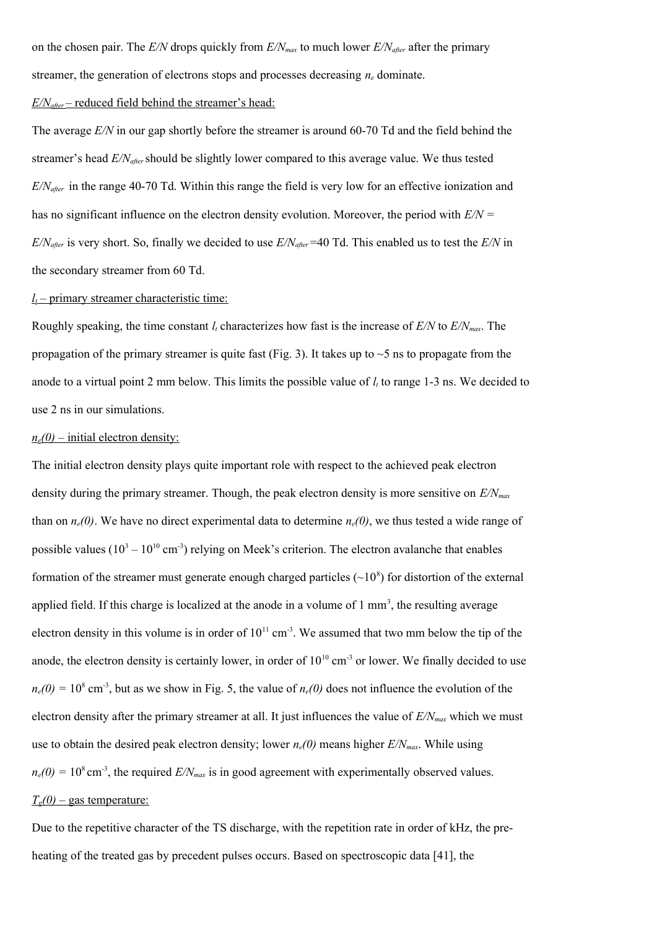on the chosen pair. The *E/N* drops quickly from *E/Nmax* to much lower *E/Nafter* after the primary streamer, the generation of electrons stops and processes decreasing  $n_e$  dominate.

#### *E/Nafter* – reduced field behind the streamer's head:

The average *E/N* in our gap shortly before the streamer is around 60-70 Td and the field behind the streamer's head *E/Nafter* should be slightly lower compared to this average value. We thus tested *E/Nafter* in the range 40-70 Td. Within this range the field is very low for an effective ionization and has no significant influence on the electron density evolution. Moreover, the period with *E/N = E/Nafter* is very short. So, finally we decided to use *E/Nafter* =40 Td. This enabled us to test the *E/N* in the secondary streamer from 60 Td.

# $l_t$  – primary streamer characteristic time:

Roughly speaking, the time constant *lt* characterizes how fast is the increase of *E/N* to *E/Nmax*. The propagation of the primary streamer is quite fast (Fig. 3). It takes up to  $\sim$  5 ns to propagate from the anode to a virtual point 2 mm below. This limits the possible value of *lt* to range 1-3 ns. We decided to use 2 ns in our simulations.

#### $n_e(0)$  – initial electron density:

The initial electron density plays quite important role with respect to the achieved peak electron density during the primary streamer. Though, the peak electron density is more sensitive on *E/Nmax* than on  $n_e(0)$ . We have no direct experimental data to determine  $n_e(0)$ , we thus tested a wide range of possible values  $(10^3 - 10^{10} \text{ cm}^3)$  relying on Meek's criterion. The electron avalanche that enables formation of the streamer must generate enough charged particles  $(\sim 10^8)$  for distortion of the external applied field. If this charge is localized at the anode in a volume of  $1 \text{ mm}^3$ , the resulting average electron density in this volume is in order of  $10^{11}$  cm<sup>-3</sup>. We assumed that two mm below the tip of the anode, the electron density is certainly lower, in order of  $10^{10}$  cm<sup>-3</sup> or lower. We finally decided to use  $n_e(0) = 10^8$  cm<sup>-3</sup>, but as we show in Fig. 5, the value of  $n_e(0)$  does not influence the evolution of the electron density after the primary streamer at all. It just influences the value of *E/Nmax* which we must use to obtain the desired peak electron density; lower  $n_e(0)$  means higher  $E/N_{max}$ . While using  $n_e(0) = 10^8$  cm<sup>-3</sup>, the required  $E/N_{max}$  is in good agreement with experimentally observed values.  $T_e(0)$  – gas temperature:

Due to the repetitive character of the TS discharge, with the repetition rate in order of kHz, the preheating of the treated gas by precedent pulses occurs. Based on spectroscopic data [41], the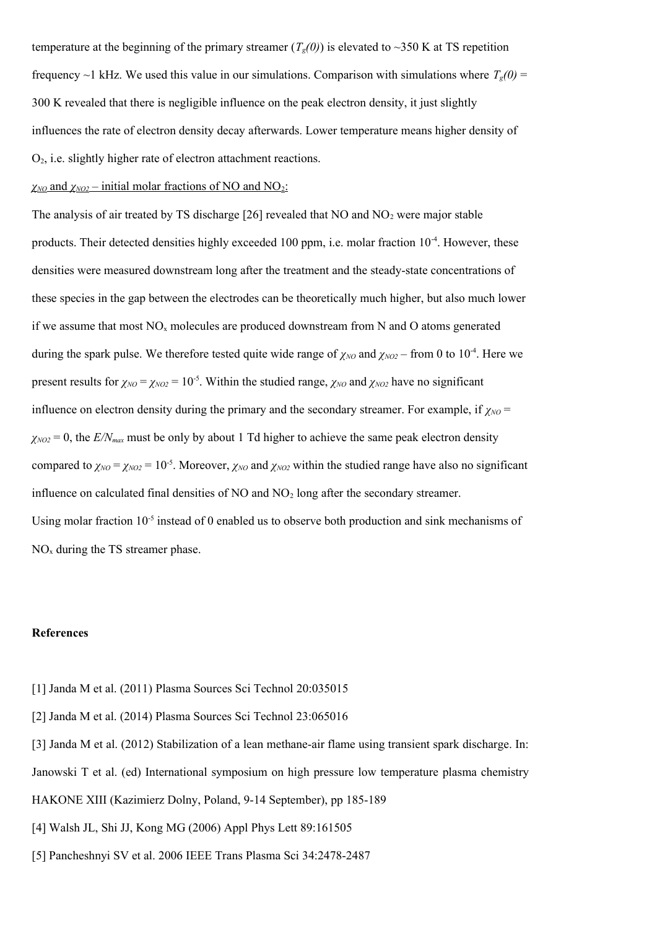temperature at the beginning of the primary streamer  $(T_g(0))$  is elevated to ~350 K at TS repetition frequency ~1 kHz. We used this value in our simulations. Comparison with simulations where  $T_g(0)$  = 300 K revealed that there is negligible influence on the peak electron density, it just slightly influences the rate of electron density decay afterwards. Lower temperature means higher density of O2, i.e. slightly higher rate of electron attachment reactions.

# *χNO* and *χNO2* – initial molar fractions of NO and NO2:

The analysis of air treated by TS discharge  $[26]$  revealed that NO and NO<sub>2</sub> were major stable products. Their detected densities highly exceeded 100 ppm, i.e. molar fraction  $10^{-4}$ . However, these densities were measured downstream long after the treatment and the steady-state concentrations of these species in the gap between the electrodes can be theoretically much higher, but also much lower if we assume that most  $NO<sub>x</sub>$  molecules are produced downstream from N and O atoms generated during the spark pulse. We therefore tested quite wide range of  $\chi_{NO}$  and  $\chi_{NO2}$  – from 0 to 10<sup>-4</sup>. Here we present results for  $\chi_{NO} = \chi_{NO2} = 10^{-5}$ . Within the studied range,  $\chi_{NO}$  and  $\chi_{NO2}$  have no significant influence on electron density during the primary and the secondary streamer. For example, if  $\chi_{NO}$  =  $\chi_{NO2} = 0$ , the  $E/N_{max}$  must be only by about 1 Td higher to achieve the same peak electron density compared to  $\chi_{NO} = \chi_{NO2} = 10^{-5}$ . Moreover,  $\chi_{NO}$  and  $\chi_{NO2}$  within the studied range have also no significant influence on calculated final densities of  $NO$  and  $NO<sub>2</sub>$  long after the secondary streamer. Using molar fraction  $10^{-5}$  instead of 0 enabled us to observe both production and sink mechanisms of  $NO<sub>x</sub>$  during the TS streamer phase.

#### **References**

- [1] Janda M et al. (2011) Plasma Sources Sci Technol 20:035015
- [2] Janda M et al. (2014) Plasma Sources Sci Technol 23:065016
- [3] Janda M et al. (2012) Stabilization of a lean methane-air flame using transient spark discharge. In:
- Janowski T et al. (ed) International symposium on high pressure low temperature plasma chemistry
- HAKONE XIII (Kazimierz Dolny, Poland, 9-14 September), pp 185-189
- [4] Walsh JL, Shi JJ, Kong MG (2006) Appl Phys Lett 89:161505
- [5] Pancheshnyi SV et al. 2006 IEEE Trans Plasma Sci 34:2478-2487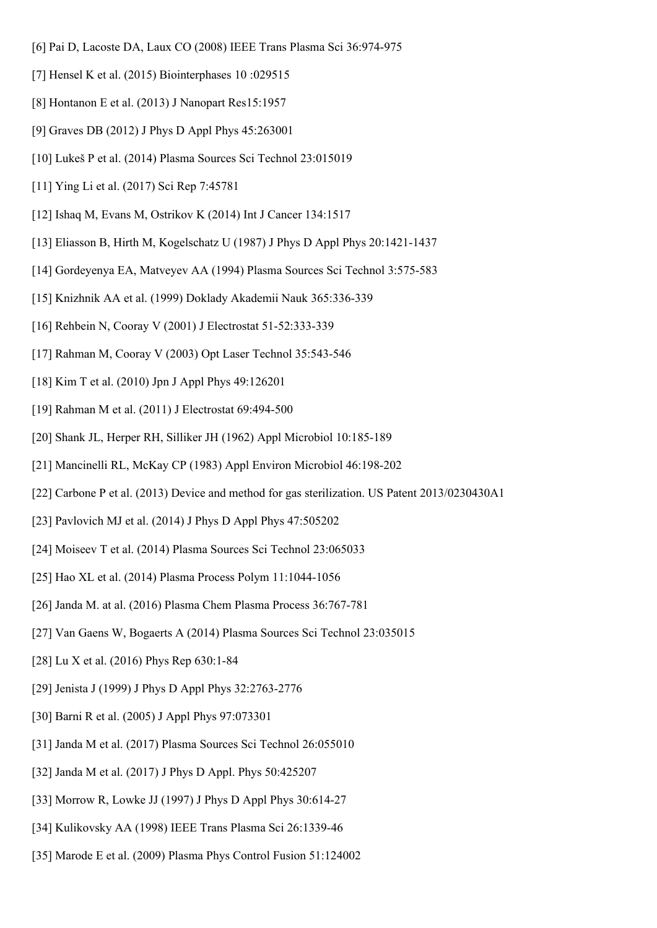- [6] Pai D, Lacoste DA, Laux CO (2008) IEEE Trans Plasma Sci 36:974-975
- [7] Hensel K et al. (2015) Biointerphases 10 :029515
- [8] Hontanon E et al. (2013) J Nanopart Res15:1957
- [9] Graves DB (2012) J Phys D Appl Phys 45:263001
- [10] Lukeš P et al. (2014) Plasma Sources Sci Technol 23:015019
- [11] Ying Li et al. (2017) Sci Rep 7:45781
- [12] Ishaq M, Evans M, Ostrikov K (2014) Int J Cancer 134:1517
- [13] Eliasson B, Hirth M, Kogelschatz U (1987) J Phys D Appl Phys 20:1421-1437
- [14] Gordeyenya EA, Matveyev AA (1994) Plasma Sources Sci Technol 3:575-583
- [15] Knizhnik AA et al. (1999) Doklady Akademii Nauk 365:336-339
- [16] Rehbein N, Cooray V (2001) J Electrostat 51-52:333-339
- [17] Rahman M, Cooray V (2003) Opt Laser Technol 35:543-546
- [18] Kim T et al. (2010) Jpn J Appl Phys 49:126201
- [19] Rahman M et al. (2011) J Electrostat 69:494-500
- [20] Shank JL, Herper RH, Silliker JH (1962) Appl Microbiol 10:185-189
- [21] Mancinelli RL, McKay CP (1983) Appl Environ Microbiol 46:198-202
- [22] Carbone P et al. (2013) Device and method for gas sterilization. US Patent 2013/0230430A1
- [23] Pavlovich MJ et al. (2014) J Phys D Appl Phys 47:505202
- [24] Moiseev T et al. (2014) Plasma Sources Sci Technol 23:065033
- [25] Hao XL et al. (2014) Plasma Process Polym 11:1044-1056
- [26] Janda M. at al. (2016) Plasma Chem Plasma Process 36:767-781
- [27] Van Gaens W, Bogaerts A (2014) Plasma Sources Sci Technol 23:035015
- [28] Lu X et al. (2016) Phys Rep 630:1-84
- [29] Jenista J (1999) J Phys D Appl Phys 32:2763-2776
- [30] Barni R et al. (2005) J Appl Phys 97:073301
- [31] Janda M et al. (2017) Plasma Sources Sci Technol 26:055010
- [32] Janda M et al. (2017) J Phys D Appl. Phys 50:425207
- [33] Morrow R, Lowke JJ (1997) J Phys D Appl Phys 30:614-27
- [34] Kulikovsky AA (1998) IEEE Trans Plasma Sci 26:1339-46
- [35] Marode E et al. (2009) Plasma Phys Control Fusion 51:124002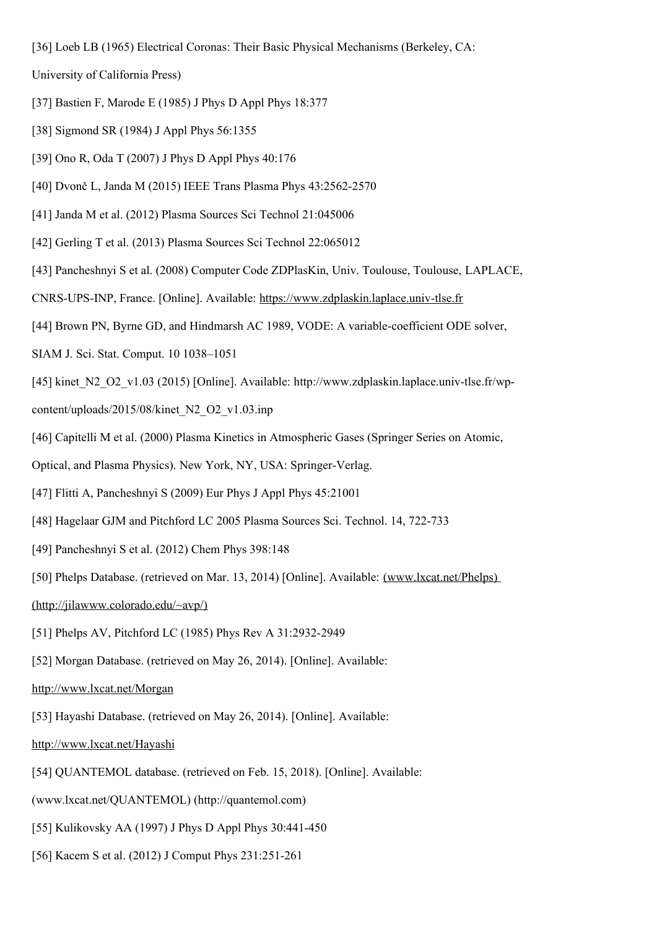[36] Loeb LB (1965) Electrical Coronas: Their Basic Physical Mechanisms (Berkeley, CA:

University of California Press)

- [37] Bastien F, Marode E (1985) J Phys D Appl Phys 18:377
- [38] Sigmond SR (1984) J Appl Phys 56:1355
- [39] Ono R, Oda T (2007) J Phys D Appl Phys 40:176
- [40] Dvonč L, Janda M (2015) IEEE Trans Plasma Phys 43:2562-2570
- [41] Janda M et al. (2012) Plasma Sources Sci Technol 21:045006
- [42] Gerling T et al. (2013) Plasma Sources Sci Technol 22:065012
- [43] Pancheshnyi S et al. (2008) Computer Code ZDPlasKin, Univ. Toulouse, Toulouse, LAPLACE,
- CNRS-UPS-INP, France. [Online]. Available: [https://www.zdplaskin.laplace.univ-tlse.fr](http://www.zdplaskin.laplace.univ-tlse.fr/)
- [44] Brown PN, Byrne GD, and Hindmarsh AC 1989, VODE: A variable-coefficient ODE solver,
- SIAM J. Sci. Stat. Comput. 10 1038–1051
- [45] kinet\_N2\_O2\_v1.03 (2015) [Online]. Available: http://www.zdplaskin.laplace.univ-tlse.fr/wp-
- content/uploads/2015/08/kinet\_N2\_O2\_v1.03.inp
- [46] Capitelli M et al. (2000) Plasma Kinetics in Atmospheric Gases (Springer Series on Atomic,
- Optical, and Plasma Physics). New York, NY, USA: Springer-Verlag.
- [47] Flitti A, Pancheshnyi S (2009) Eur Phys J Appl Phys 45:21001
- [48] Hagelaar GJM and Pitchford LC 2005 Plasma Sources Sci. Technol. 14, 722-733
- [49] Pancheshnyi S et al. (2012) Chem Phys 398:148
- [50] Phelps Database. (retrieved on Mar. 13, 2014) [Online]. Available: (www.lxcat.net/Phelps)
- (http://jilawww.colorado.edu/~avp/)
- [51] Phelps AV, Pitchford LC (1985) Phys Rev A 31:2932-2949
- [52] Morgan Database. (retrieved on May 26, 2014). [Online]. Available:

## http://www.lxcat.net/Morgan

- [53] Hayashi Database. (retrieved on May 26, 2014). [Online]. Available:
- http://www.lxcat.net/Hayashi
- [54] QUANTEMOL database. (retrieved on Feb. 15, 2018). [Online]. Available:
- (www.lxcat.net/QUANTEMOL) (http://quantemol.com)
- [55] Kulikovsky AA (1997) J Phys D Appl Phys 30:441-450
- [56] Kacem S et al. (2012) J Comput Phys 231:251-261